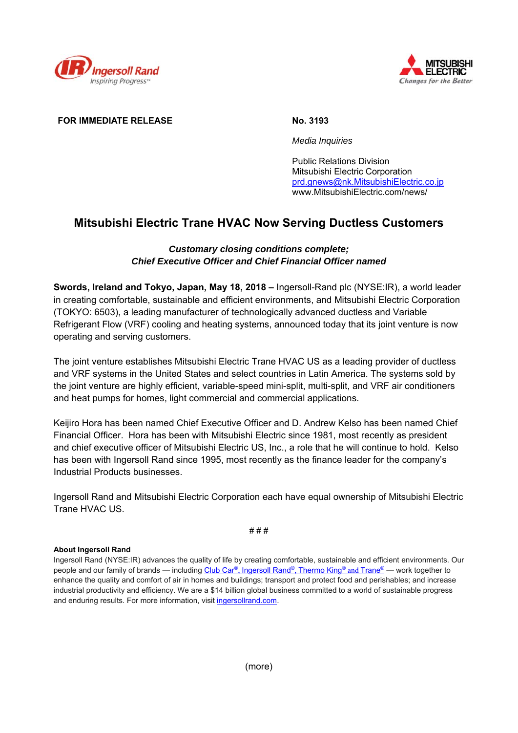



## **FOR IMMEDIATE RELEASE No. 3193**

 *Media Inquiries* 

 Public Relations Division Mitsubishi Electric Corporation prd.gnews@nk.MitsubishiElectric.co.jp www.MitsubishiElectric.com/news/

# **Mitsubishi Electric Trane HVAC Now Serving Ductless Customers**

# *Customary closing conditions complete; Chief Executive Officer and Chief Financial Officer named*

**Swords, Ireland and Tokyo, Japan, May 18, 2018 –** Ingersoll-Rand plc (NYSE:IR), a world leader in creating comfortable, sustainable and efficient environments, and Mitsubishi Electric Corporation (TOKYO: 6503), a leading manufacturer of technologically advanced ductless and Variable Refrigerant Flow (VRF) cooling and heating systems, announced today that its joint venture is now operating and serving customers.

The joint venture establishes Mitsubishi Electric Trane HVAC US as a leading provider of ductless and VRF systems in the United States and select countries in Latin America. The systems sold by the joint venture are highly efficient, variable-speed mini-split, multi-split, and VRF air conditioners and heat pumps for homes, light commercial and commercial applications.

Keijiro Hora has been named Chief Executive Officer and D. Andrew Kelso has been named Chief Financial Officer. Hora has been with Mitsubishi Electric since 1981, most recently as president and chief executive officer of Mitsubishi Electric US, Inc., a role that he will continue to hold. Kelso has been with Ingersoll Rand since 1995, most recently as the finance leader for the company's Industrial Products businesses.

Ingersoll Rand and Mitsubishi Electric Corporation each have equal ownership of Mitsubishi Electric Trane HVAC US.

# # #

## **About Ingersoll Rand**

Ingersoll Rand (NYSE:IR) advances the quality of life by creating comfortable, sustainable and efficient environments. Our people and our family of brands — including Club Car®, Ingersoll Rand®, Thermo King® and Trane® — work together to enhance the quality and comfort of air in homes and buildings; transport and protect food and perishables; and increase industrial productivity and efficiency. We are a \$14 billion global business committed to a world of sustainable progress and enduring results. For more information, visit ingersollrand.com.